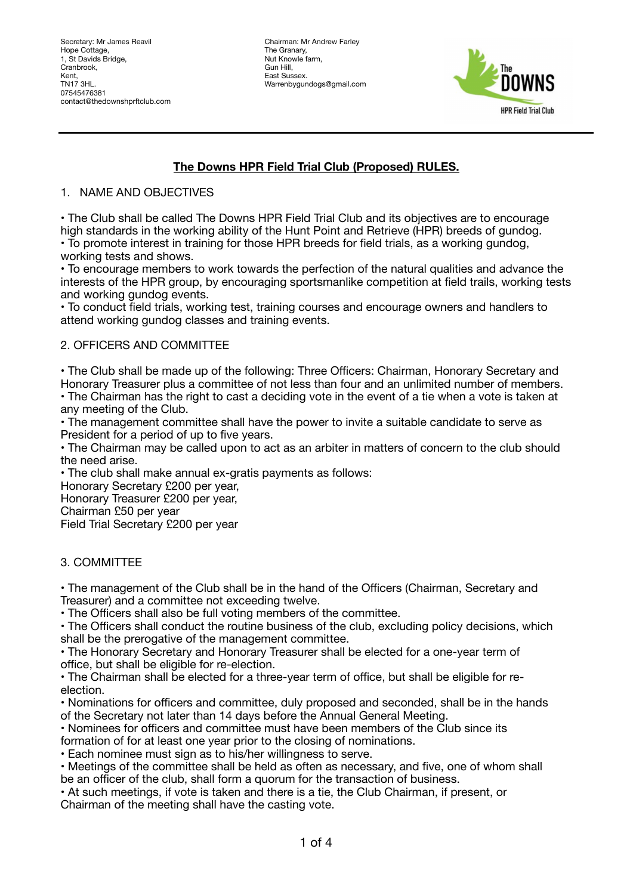Chairman: Mr Andrew Farley The Granary, Nut Knowle farm, Gun Hill, East Sussex. Warrenbygundogs@gmail.com



# **The Downs HPR Field Trial Club (Proposed) RULES.**

## 1. NAME AND OBJECTIVES

• The Club shall be called The Downs HPR Field Trial Club and its objectives are to encourage high standards in the working ability of the Hunt Point and Retrieve (HPR) breeds of gundog. • To promote interest in training for those HPR breeds for field trials, as a working gundog, working tests and shows.

• To encourage members to work towards the perfection of the natural qualities and advance the interests of the HPR group, by encouraging sportsmanlike competition at field trails, working tests and working gundog events.

• To conduct field trials, working test, training courses and encourage owners and handlers to attend working gundog classes and training events.

## 2. OFFICERS AND COMMITTEE

• The Club shall be made up of the following: Three Officers: Chairman, Honorary Secretary and Honorary Treasurer plus a committee of not less than four and an unlimited number of members.

• The Chairman has the right to cast a deciding vote in the event of a tie when a vote is taken at any meeting of the Club.

• The management committee shall have the power to invite a suitable candidate to serve as President for a period of up to five years.

• The Chairman may be called upon to act as an arbiter in matters of concern to the club should the need arise.

• The club shall make annual ex-gratis payments as follows:

Honorary Secretary £200 per year,

Honorary Treasurer £200 per year,

Chairman £50 per year

Field Trial Secretary £200 per year

#### 3. COMMITTEE

• The management of the Club shall be in the hand of the Officers (Chairman, Secretary and Treasurer) and a committee not exceeding twelve.

• The Officers shall also be full voting members of the committee.

• The Officers shall conduct the routine business of the club, excluding policy decisions, which shall be the prerogative of the management committee.

• The Honorary Secretary and Honorary Treasurer shall be elected for a one-year term of office, but shall be eligible for re-election.

• The Chairman shall be elected for a three-year term of office, but shall be eligible for reelection.

• Nominations for officers and committee, duly proposed and seconded, shall be in the hands of the Secretary not later than 14 days before the Annual General Meeting.

• Nominees for officers and committee must have been members of the Club since its formation of for at least one year prior to the closing of nominations.

• Each nominee must sign as to his/her willingness to serve.

• Meetings of the committee shall be held as often as necessary, and five, one of whom shall be an officer of the club, shall form a quorum for the transaction of business.

• At such meetings, if vote is taken and there is a tie, the Club Chairman, if present, or Chairman of the meeting shall have the casting vote.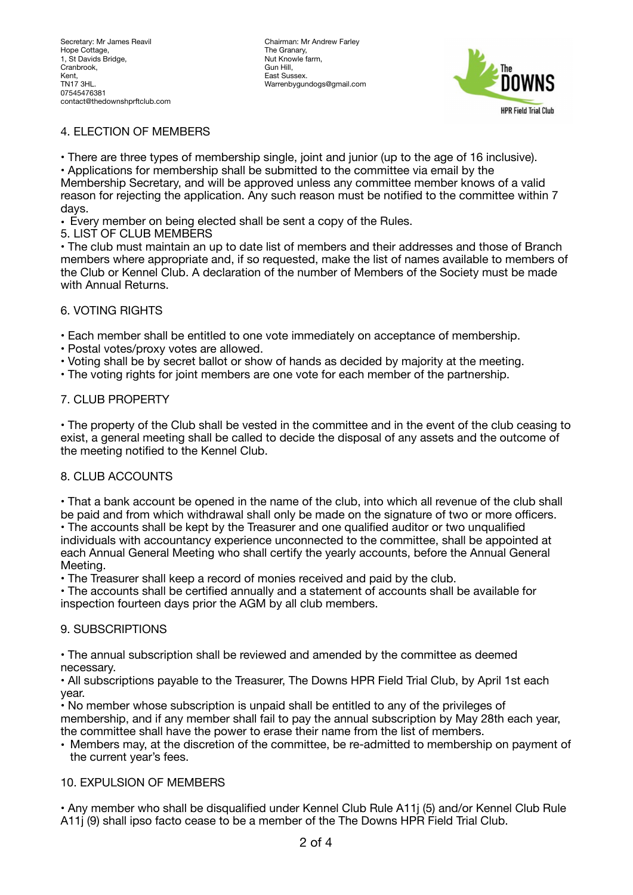Chairman: Mr Andrew Farley The Granary, Nut Knowle farm, Gun Hill, East Sussex. Warrenbygundogs@gmail.com



## 4. ELECTION OF MEMBERS

• There are three types of membership single, joint and junior (up to the age of 16 inclusive).

• Applications for membership shall be submitted to the committee via email by the Membership Secretary, and will be approved unless any committee member knows of a valid reason for rejecting the application. Any such reason must be notified to the committee within 7 days.

• Every member on being elected shall be sent a copy of the Rules.

5. LIST OF CLUB MEMBERS

• The club must maintain an up to date list of members and their addresses and those of Branch members where appropriate and, if so requested, make the list of names available to members of the Club or Kennel Club. A declaration of the number of Members of the Society must be made with Annual Returns.

## 6. VOTING RIGHTS

• Each member shall be entitled to one vote immediately on acceptance of membership.

- Postal votes/proxy votes are allowed.
- Voting shall be by secret ballot or show of hands as decided by majority at the meeting.
- The voting rights for joint members are one vote for each member of the partnership.

## 7. CLUB PROPERTY

• The property of the Club shall be vested in the committee and in the event of the club ceasing to exist, a general meeting shall be called to decide the disposal of any assets and the outcome of the meeting notified to the Kennel Club.

#### 8. CLUB ACCOUNTS

• That a bank account be opened in the name of the club, into which all revenue of the club shall be paid and from which withdrawal shall only be made on the signature of two or more officers. • The accounts shall be kept by the Treasurer and one qualified auditor or two unqualified

individuals with accountancy experience unconnected to the committee, shall be appointed at each Annual General Meeting who shall certify the yearly accounts, before the Annual General Meeting.

• The Treasurer shall keep a record of monies received and paid by the club.

• The accounts shall be certified annually and a statement of accounts shall be available for inspection fourteen days prior the AGM by all club members.

#### 9. SUBSCRIPTIONS

• The annual subscription shall be reviewed and amended by the committee as deemed necessary.

• All subscriptions payable to the Treasurer, The Downs HPR Field Trial Club, by April 1st each year.

• No member whose subscription is unpaid shall be entitled to any of the privileges of membership, and if any member shall fail to pay the annual subscription by May 28th each year, the committee shall have the power to erase their name from the list of members.

• Members may, at the discretion of the committee, be re-admitted to membership on payment of the current year's fees.

#### 10. EXPULSION OF MEMBERS

• Any member who shall be disqualified under Kennel Club Rule A11j (5) and/or Kennel Club Rule A11j (9) shall ipso facto cease to be a member of the The Downs HPR Field Trial Club.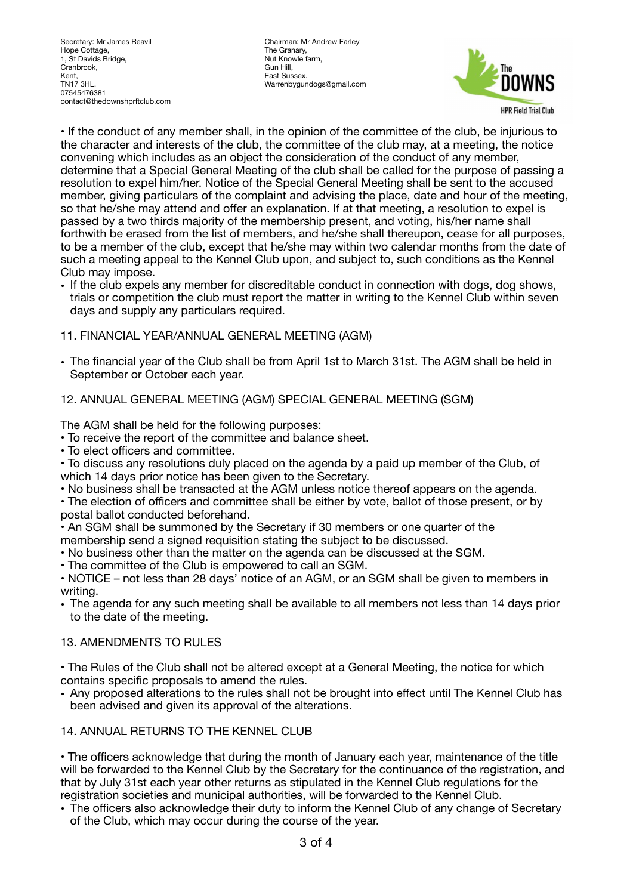Secretary: Mr James Reavil Hope Cottage, 1, St Davids Bridge, Cranbrook, Kent, TN17 3HL. 07545476381 contact@thedownshprftclub.com Chairman: Mr Andrew Farley The Granary, Nut Knowle farm, Gun Hill, East Sussex. Warrenbygundogs@gmail.com



• If the conduct of any member shall, in the opinion of the committee of the club, be injurious to the character and interests of the club, the committee of the club may, at a meeting, the notice convening which includes as an object the consideration of the conduct of any member, determine that a Special General Meeting of the club shall be called for the purpose of passing a resolution to expel him/her. Notice of the Special General Meeting shall be sent to the accused member, giving particulars of the complaint and advising the place, date and hour of the meeting, so that he/she may attend and offer an explanation. If at that meeting, a resolution to expel is passed by a two thirds majority of the membership present, and voting, his/her name shall forthwith be erased from the list of members, and he/she shall thereupon, cease for all purposes, to be a member of the club, except that he/she may within two calendar months from the date of such a meeting appeal to the Kennel Club upon, and subject to, such conditions as the Kennel Club may impose.

• If the club expels any member for discreditable conduct in connection with dogs, dog shows, trials or competition the club must report the matter in writing to the Kennel Club within seven days and supply any particulars required.

## 11. FINANCIAL YEAR/ANNUAL GENERAL MEETING (AGM)

• The financial year of the Club shall be from April 1st to March 31st. The AGM shall be held in September or October each year.

## 12. ANNUAL GENERAL MEETING (AGM) SPECIAL GENERAL MEETING (SGM)

The AGM shall be held for the following purposes:

- To receive the report of the committee and balance sheet.
- To elect officers and committee.
- To discuss any resolutions duly placed on the agenda by a paid up member of the Club, of which 14 days prior notice has been given to the Secretary.
- No business shall be transacted at the AGM unless notice thereof appears on the agenda.

• The election of officers and committee shall be either by vote, ballot of those present, or by postal ballot conducted beforehand.

• An SGM shall be summoned by the Secretary if 30 members or one quarter of the membership send a signed requisition stating the subject to be discussed.

- No business other than the matter on the agenda can be discussed at the SGM.
- The committee of the Club is empowered to call an SGM.

• NOTICE – not less than 28 days' notice of an AGM, or an SGM shall be given to members in writing.

• The agenda for any such meeting shall be available to all members not less than 14 days prior to the date of the meeting.

## 13. AMENDMENTS TO RULES

• The Rules of the Club shall not be altered except at a General Meeting, the notice for which contains specific proposals to amend the rules.

• Any proposed alterations to the rules shall not be brought into effect until The Kennel Club has been advised and given its approval of the alterations.

## 14. ANNUAL RETURNS TO THE KENNEL CLUB

• The officers acknowledge that during the month of January each year, maintenance of the title will be forwarded to the Kennel Club by the Secretary for the continuance of the registration, and that by July 31st each year other returns as stipulated in the Kennel Club regulations for the registration societies and municipal authorities, will be forwarded to the Kennel Club.

• The officers also acknowledge their duty to inform the Kennel Club of any change of Secretary of the Club, which may occur during the course of the year.